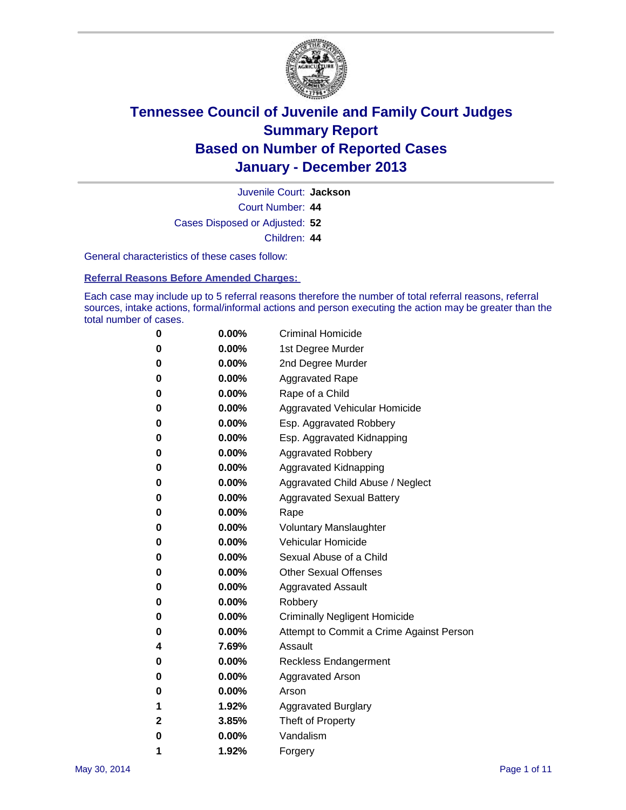

Court Number: **44** Juvenile Court: **Jackson** Cases Disposed or Adjusted: **52** Children: **44**

General characteristics of these cases follow:

**Referral Reasons Before Amended Charges:** 

Each case may include up to 5 referral reasons therefore the number of total referral reasons, referral sources, intake actions, formal/informal actions and person executing the action may be greater than the total number of cases.

| 0           | 0.00%    | <b>Criminal Homicide</b>                 |
|-------------|----------|------------------------------------------|
| 0           | 0.00%    | 1st Degree Murder                        |
| 0           | 0.00%    | 2nd Degree Murder                        |
| 0           | $0.00\%$ | <b>Aggravated Rape</b>                   |
| 0           | 0.00%    | Rape of a Child                          |
| 0           | 0.00%    | Aggravated Vehicular Homicide            |
| 0           | $0.00\%$ | Esp. Aggravated Robbery                  |
| 0           | 0.00%    | Esp. Aggravated Kidnapping               |
| 0           | 0.00%    | <b>Aggravated Robbery</b>                |
| 0           | $0.00\%$ | Aggravated Kidnapping                    |
| 0           | 0.00%    | Aggravated Child Abuse / Neglect         |
| 0           | 0.00%    | <b>Aggravated Sexual Battery</b>         |
| 0           | $0.00\%$ | Rape                                     |
| 0           | 0.00%    | <b>Voluntary Manslaughter</b>            |
| 0           | 0.00%    | Vehicular Homicide                       |
| 0           | 0.00%    | Sexual Abuse of a Child                  |
| 0           | $0.00\%$ | <b>Other Sexual Offenses</b>             |
| 0           | 0.00%    | <b>Aggravated Assault</b>                |
| 0           | $0.00\%$ | Robbery                                  |
| 0           | 0.00%    | <b>Criminally Negligent Homicide</b>     |
| 0           | 0.00%    | Attempt to Commit a Crime Against Person |
| 4           | 7.69%    | Assault                                  |
| 0           | 0.00%    | <b>Reckless Endangerment</b>             |
| 0           | 0.00%    | Aggravated Arson                         |
| 0           | $0.00\%$ | Arson                                    |
| 1           | 1.92%    | <b>Aggravated Burglary</b>               |
| $\mathbf 2$ | 3.85%    | Theft of Property                        |
| 0           | 0.00%    | Vandalism                                |
| 1           | 1.92%    | Forgery                                  |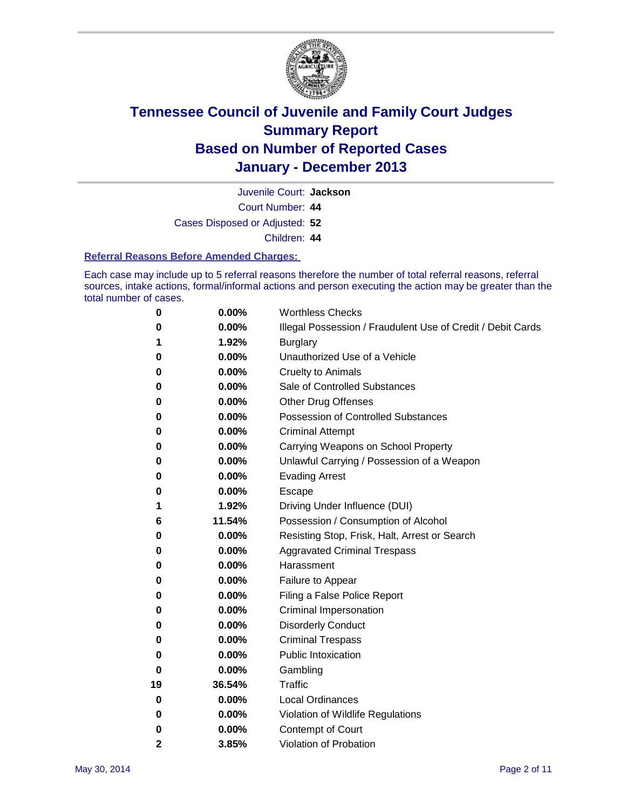

Juvenile Court: **Jackson**

Court Number: **44**

Cases Disposed or Adjusted: **52**

Children: **44**

#### **Referral Reasons Before Amended Charges:**

Each case may include up to 5 referral reasons therefore the number of total referral reasons, referral sources, intake actions, formal/informal actions and person executing the action may be greater than the total number of cases.

| 0  | 0.00%  | <b>Worthless Checks</b>                                     |
|----|--------|-------------------------------------------------------------|
| 0  | 0.00%  | Illegal Possession / Fraudulent Use of Credit / Debit Cards |
| 1  | 1.92%  | <b>Burglary</b>                                             |
| 0  | 0.00%  | Unauthorized Use of a Vehicle                               |
| 0  | 0.00%  | <b>Cruelty to Animals</b>                                   |
| 0  | 0.00%  | Sale of Controlled Substances                               |
| 0  | 0.00%  | <b>Other Drug Offenses</b>                                  |
| 0  | 0.00%  | <b>Possession of Controlled Substances</b>                  |
| 0  | 0.00%  | <b>Criminal Attempt</b>                                     |
| 0  | 0.00%  | Carrying Weapons on School Property                         |
| 0  | 0.00%  | Unlawful Carrying / Possession of a Weapon                  |
| 0  | 0.00%  | <b>Evading Arrest</b>                                       |
| 0  | 0.00%  | Escape                                                      |
| 1  | 1.92%  | Driving Under Influence (DUI)                               |
| 6  | 11.54% | Possession / Consumption of Alcohol                         |
| 0  | 0.00%  | Resisting Stop, Frisk, Halt, Arrest or Search               |
| 0  | 0.00%  | <b>Aggravated Criminal Trespass</b>                         |
| 0  | 0.00%  | Harassment                                                  |
| 0  | 0.00%  | Failure to Appear                                           |
| 0  | 0.00%  | Filing a False Police Report                                |
| 0  | 0.00%  | Criminal Impersonation                                      |
| 0  | 0.00%  | <b>Disorderly Conduct</b>                                   |
| 0  | 0.00%  | <b>Criminal Trespass</b>                                    |
| 0  | 0.00%  | <b>Public Intoxication</b>                                  |
| 0  | 0.00%  | Gambling                                                    |
| 19 | 36.54% | Traffic                                                     |
| 0  | 0.00%  | <b>Local Ordinances</b>                                     |
| 0  | 0.00%  | Violation of Wildlife Regulations                           |
| 0  | 0.00%  | Contempt of Court                                           |
| 2  | 3.85%  | Violation of Probation                                      |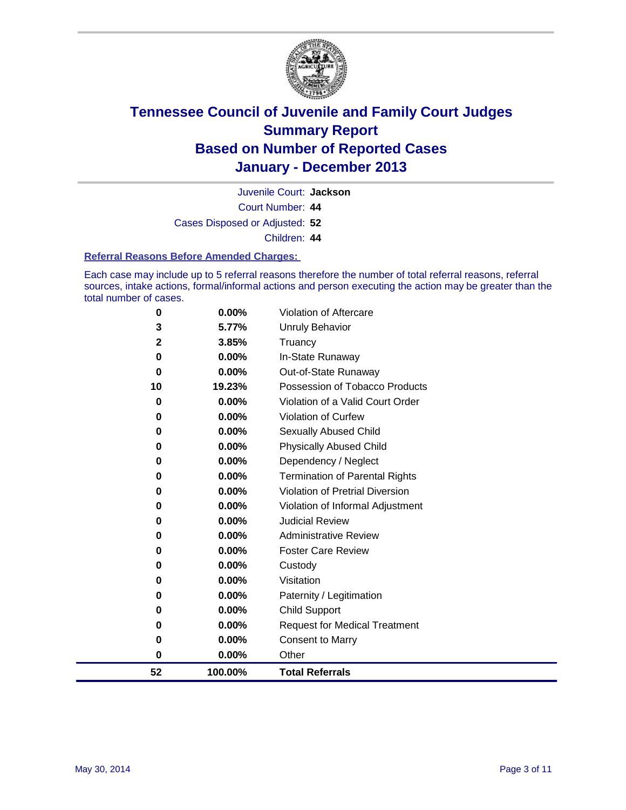

Court Number: **44** Juvenile Court: **Jackson** Cases Disposed or Adjusted: **52**

Children: **44**

#### **Referral Reasons Before Amended Charges:**

Each case may include up to 5 referral reasons therefore the number of total referral reasons, referral sources, intake actions, formal/informal actions and person executing the action may be greater than the total number of cases.

| 52                | 100.00%        | <b>Total Referrals</b>                 |
|-------------------|----------------|----------------------------------------|
| 0                 | $0.00\%$       | Other                                  |
| 0                 | 0.00%          | <b>Consent to Marry</b>                |
| 0                 | $0.00\%$       | <b>Request for Medical Treatment</b>   |
| 0                 | 0.00%          | <b>Child Support</b>                   |
| 0                 | 0.00%          | Paternity / Legitimation               |
| 0                 | 0.00%          | Visitation                             |
| 0                 | 0.00%          | Custody                                |
| 0                 | 0.00%          | <b>Foster Care Review</b>              |
| 0                 | 0.00%          | <b>Administrative Review</b>           |
| 0                 | 0.00%          | <b>Judicial Review</b>                 |
| 0                 | $0.00\%$       | Violation of Informal Adjustment       |
| 0                 | $0.00\%$       | <b>Violation of Pretrial Diversion</b> |
| 0                 | 0.00%          | <b>Termination of Parental Rights</b>  |
| 0                 | 0.00%          | Dependency / Neglect                   |
| 0                 | 0.00%          | <b>Physically Abused Child</b>         |
| 0                 | $0.00\%$       | Sexually Abused Child                  |
| 0                 | 0.00%          | <b>Violation of Curfew</b>             |
| 0                 | 0.00%          | Violation of a Valid Court Order       |
| 10                | 19.23%         | Possession of Tobacco Products         |
| 0                 | 0.00%          | Out-of-State Runaway                   |
| $\bf{0}$          | 0.00%          | In-State Runaway                       |
| 3<br>$\mathbf{2}$ | 5.77%<br>3.85% | <b>Unruly Behavior</b><br>Truancy      |
| 0                 | $0.00\%$       | Violation of Aftercare                 |
|                   |                |                                        |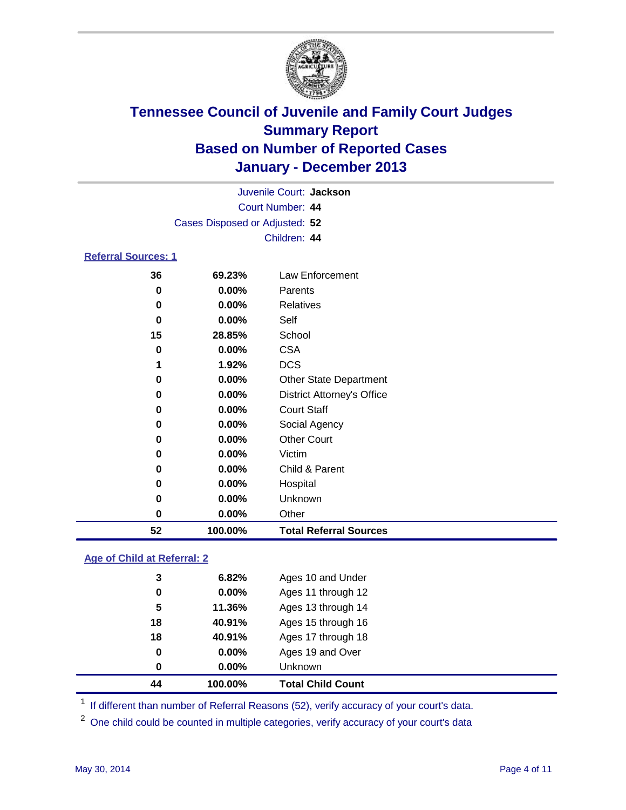

|                                |          | Juvenile Court: Jackson           |  |  |  |  |
|--------------------------------|----------|-----------------------------------|--|--|--|--|
| Court Number: 44               |          |                                   |  |  |  |  |
| Cases Disposed or Adjusted: 52 |          |                                   |  |  |  |  |
|                                |          | Children: 44                      |  |  |  |  |
| <b>Referral Sources: 1</b>     |          |                                   |  |  |  |  |
| 36                             | 69.23%   | Law Enforcement                   |  |  |  |  |
| 0                              | $0.00\%$ | Parents                           |  |  |  |  |
| 0                              | $0.00\%$ | <b>Relatives</b>                  |  |  |  |  |
| 0                              | $0.00\%$ | Self                              |  |  |  |  |
| 15                             | 28.85%   | School                            |  |  |  |  |
| 0                              | $0.00\%$ | <b>CSA</b>                        |  |  |  |  |
| 1                              | 1.92%    | <b>DCS</b>                        |  |  |  |  |
| 0                              | $0.00\%$ | <b>Other State Department</b>     |  |  |  |  |
| 0                              | $0.00\%$ | <b>District Attorney's Office</b> |  |  |  |  |
| 0                              | $0.00\%$ | <b>Court Staff</b>                |  |  |  |  |

| 52 | 100.00%  | <b>Total Referral Sources</b> |
|----|----------|-------------------------------|
| 0  | $0.00\%$ | Other                         |
| 0  | $0.00\%$ | Unknown                       |
| 0  | 0.00%    | Hospital                      |
| 0  | 0.00%    | Child & Parent                |
| 0  | $0.00\%$ | Victim                        |
| 0  | 0.00%    | <b>Other Court</b>            |
| 0  | 0.00%    | Social Agency                 |

### **Age of Child at Referral: 2**

| 44 | 100.00%  | <b>Total Child Count</b> |
|----|----------|--------------------------|
| 0  | $0.00\%$ | Unknown                  |
| 0  | 0.00%    | Ages 19 and Over         |
| 18 | 40.91%   | Ages 17 through 18       |
| 18 | 40.91%   | Ages 15 through 16       |
| 5  | 11.36%   | Ages 13 through 14       |
| 0  | 0.00%    | Ages 11 through 12       |
| 3  | 6.82%    | Ages 10 and Under        |
|    |          |                          |

<sup>1</sup> If different than number of Referral Reasons (52), verify accuracy of your court's data.

<sup>2</sup> One child could be counted in multiple categories, verify accuracy of your court's data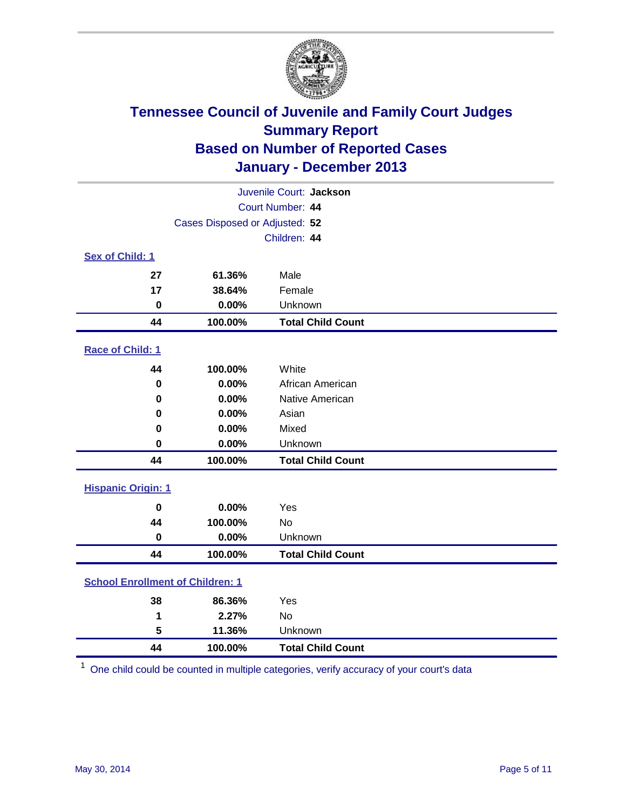

| Juvenile Court: Jackson                 |         |                          |  |  |
|-----------------------------------------|---------|--------------------------|--|--|
| Court Number: 44                        |         |                          |  |  |
| Cases Disposed or Adjusted: 52          |         |                          |  |  |
|                                         |         | Children: 44             |  |  |
| Sex of Child: 1                         |         |                          |  |  |
| 27                                      | 61.36%  | Male                     |  |  |
| 17                                      | 38.64%  | Female                   |  |  |
| 0                                       | 0.00%   | Unknown                  |  |  |
| 44                                      | 100.00% | <b>Total Child Count</b> |  |  |
| Race of Child: 1                        |         |                          |  |  |
| 44                                      | 100.00% | White                    |  |  |
| $\bf{0}$                                | 0.00%   | African American         |  |  |
| $\bf{0}$                                | 0.00%   | Native American          |  |  |
| 0                                       | 0.00%   | Asian                    |  |  |
| 0                                       | 0.00%   | Mixed                    |  |  |
| $\bf{0}$                                | 0.00%   | Unknown                  |  |  |
| 44                                      | 100.00% | <b>Total Child Count</b> |  |  |
| <b>Hispanic Origin: 1</b>               |         |                          |  |  |
| $\mathbf 0$                             | 0.00%   | Yes                      |  |  |
| 44                                      | 100.00% | <b>No</b>                |  |  |
| $\bf{0}$                                | 0.00%   | Unknown                  |  |  |
| 44                                      | 100.00% | <b>Total Child Count</b> |  |  |
| <b>School Enrollment of Children: 1</b> |         |                          |  |  |
| 38                                      | 86.36%  | Yes                      |  |  |
| 1                                       | 2.27%   | <b>No</b>                |  |  |
| 5                                       | 11.36%  | Unknown                  |  |  |
| 44                                      | 100.00% | <b>Total Child Count</b> |  |  |

One child could be counted in multiple categories, verify accuracy of your court's data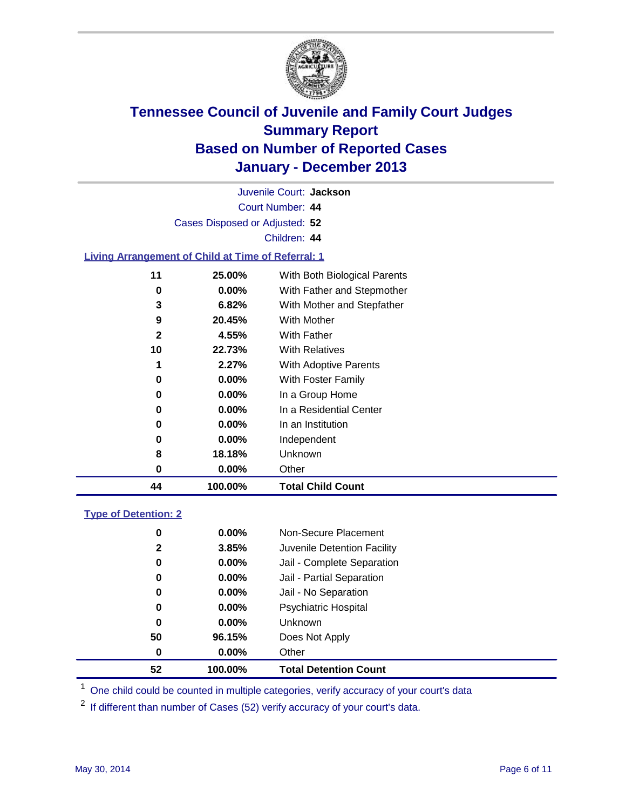

Court Number: **44** Juvenile Court: **Jackson** Cases Disposed or Adjusted: **52** Children: **44**

### **Living Arrangement of Child at Time of Referral: 1**

| 44           | 100.00%  | <b>Total Child Count</b>     |  |
|--------------|----------|------------------------------|--|
| 0            | $0.00\%$ | Other                        |  |
| 8            | 18.18%   | Unknown                      |  |
| 0            | $0.00\%$ | Independent                  |  |
| 0            | $0.00\%$ | In an Institution            |  |
| 0            | $0.00\%$ | In a Residential Center      |  |
| 0            | $0.00\%$ | In a Group Home              |  |
| 0            | $0.00\%$ | With Foster Family           |  |
| 1            | 2.27%    | <b>With Adoptive Parents</b> |  |
| 10           | 22.73%   | <b>With Relatives</b>        |  |
| $\mathbf{2}$ | 4.55%    | With Father                  |  |
| 9            | 20.45%   | With Mother                  |  |
| 3            | 6.82%    | With Mother and Stepfather   |  |
| 0            | $0.00\%$ | With Father and Stepmother   |  |
| 11           | 25.00%   | With Both Biological Parents |  |
|              |          |                              |  |

#### **Type of Detention: 2**

| 52 | 100.00%  | <b>Total Detention Count</b> |  |
|----|----------|------------------------------|--|
| 0  | 0.00%    | Other                        |  |
| 50 | 96.15%   | Does Not Apply               |  |
| 0  | $0.00\%$ | <b>Unknown</b>               |  |
| 0  | $0.00\%$ | <b>Psychiatric Hospital</b>  |  |
| 0  | 0.00%    | Jail - No Separation         |  |
| 0  | $0.00\%$ | Jail - Partial Separation    |  |
| 0  | 0.00%    | Jail - Complete Separation   |  |
| 2  | 3.85%    | Juvenile Detention Facility  |  |
| 0  | $0.00\%$ | Non-Secure Placement         |  |
|    |          |                              |  |

<sup>1</sup> One child could be counted in multiple categories, verify accuracy of your court's data

If different than number of Cases (52) verify accuracy of your court's data.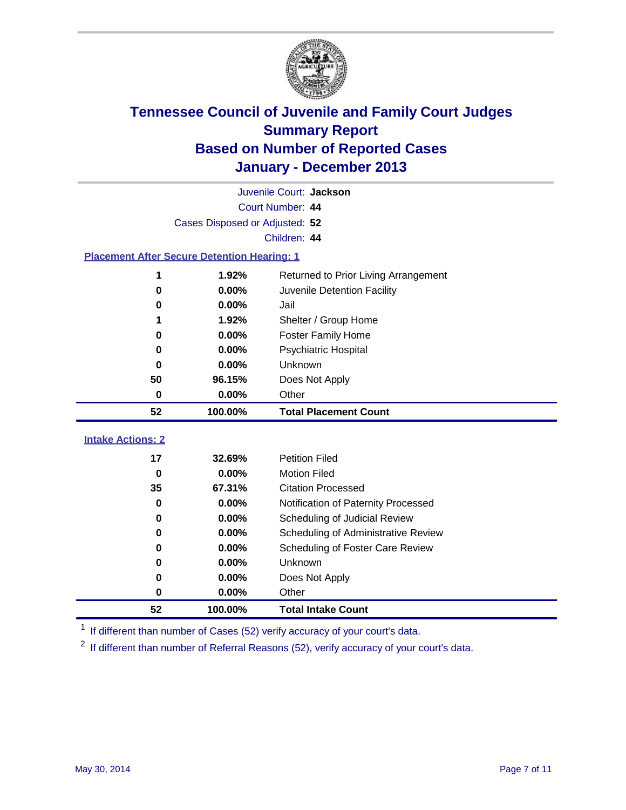

| Juvenile Court: Jackson                            |                                |                                      |  |  |  |  |
|----------------------------------------------------|--------------------------------|--------------------------------------|--|--|--|--|
|                                                    | Court Number: 44               |                                      |  |  |  |  |
|                                                    | Cases Disposed or Adjusted: 52 |                                      |  |  |  |  |
|                                                    | Children: 44                   |                                      |  |  |  |  |
| <b>Placement After Secure Detention Hearing: 1</b> |                                |                                      |  |  |  |  |
| 1                                                  | 1.92%                          | Returned to Prior Living Arrangement |  |  |  |  |
| 0                                                  | 0.00%                          | Juvenile Detention Facility          |  |  |  |  |
| 0                                                  | 0.00%                          | Jail                                 |  |  |  |  |
| 1                                                  | 1.92%                          | Shelter / Group Home                 |  |  |  |  |
| 0                                                  | 0.00%                          | Foster Family Home                   |  |  |  |  |
| 0                                                  | 0.00%                          | Psychiatric Hospital                 |  |  |  |  |
| 0                                                  | 0.00%                          | Unknown                              |  |  |  |  |
| 50                                                 | 96.15%                         | Does Not Apply                       |  |  |  |  |
| 0                                                  | $0.00\%$                       | Other                                |  |  |  |  |
|                                                    |                                |                                      |  |  |  |  |
| 52                                                 | 100.00%                        | <b>Total Placement Count</b>         |  |  |  |  |
| <b>Intake Actions: 2</b>                           |                                |                                      |  |  |  |  |
| 17                                                 | 32.69%                         | <b>Petition Filed</b>                |  |  |  |  |
| $\bf{0}$                                           | 0.00%                          | <b>Motion Filed</b>                  |  |  |  |  |
| 35                                                 | 67.31%                         | <b>Citation Processed</b>            |  |  |  |  |
| 0                                                  | 0.00%                          | Notification of Paternity Processed  |  |  |  |  |
| $\bf{0}$                                           | 0.00%                          | Scheduling of Judicial Review        |  |  |  |  |
| 0                                                  | 0.00%                          | Scheduling of Administrative Review  |  |  |  |  |
| 0                                                  | 0.00%                          | Scheduling of Foster Care Review     |  |  |  |  |
| 0                                                  | 0.00%                          | <b>Unknown</b>                       |  |  |  |  |
| 0                                                  | 0.00%                          | Does Not Apply                       |  |  |  |  |
| 0                                                  | 0.00%                          | Other                                |  |  |  |  |

<sup>1</sup> If different than number of Cases (52) verify accuracy of your court's data.

<sup>2</sup> If different than number of Referral Reasons (52), verify accuracy of your court's data.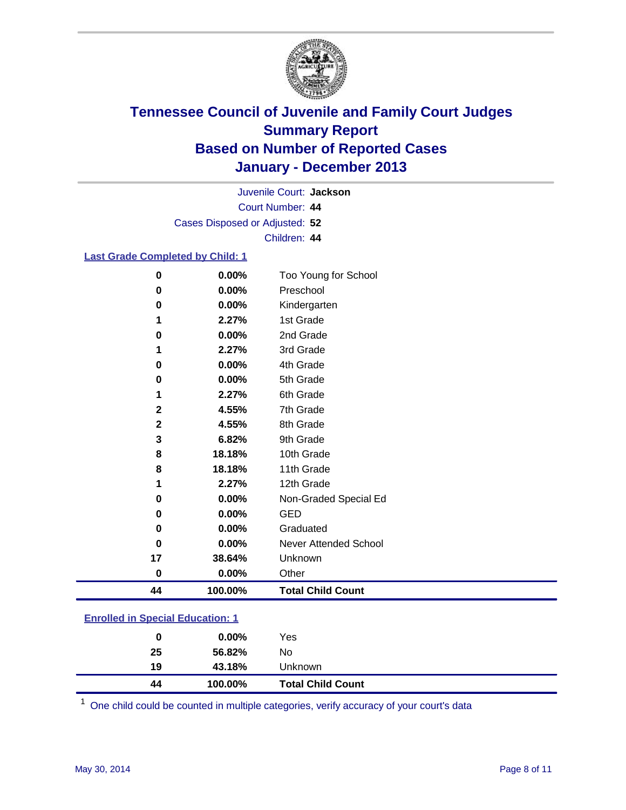

Court Number: **44** Juvenile Court: **Jackson** Cases Disposed or Adjusted: **52** Children: **44**

#### **Last Grade Completed by Child: 1**

| 0           | 0.00%    | Too Young for School     |
|-------------|----------|--------------------------|
| $\bf{0}$    | 0.00%    | Preschool                |
| 0           | 0.00%    | Kindergarten             |
| 1           | 2.27%    | 1st Grade                |
| $\bf{0}$    | 0.00%    | 2nd Grade                |
| 1           | 2.27%    | 3rd Grade                |
| 0           | 0.00%    | 4th Grade                |
| 0           | 0.00%    | 5th Grade                |
| 1           | 2.27%    | 6th Grade                |
| $\mathbf 2$ | 4.55%    | 7th Grade                |
| 2           | 4.55%    | 8th Grade                |
| 3           | 6.82%    | 9th Grade                |
| 8           | 18.18%   | 10th Grade               |
| 8           | 18.18%   | 11th Grade               |
| 1           | 2.27%    | 12th Grade               |
| 0           | 0.00%    | Non-Graded Special Ed    |
| 0           | 0.00%    | <b>GED</b>               |
| 0           | 0.00%    | Graduated                |
| $\bf{0}$    | 0.00%    | Never Attended School    |
| 17          | 38.64%   | Unknown                  |
| 0           | $0.00\%$ | Other                    |
| 44          | 100.00%  | <b>Total Child Count</b> |

### **Enrolled in Special Education: 1**

| 44 | 100.00%  | <b>Total Child Count</b> |  |
|----|----------|--------------------------|--|
| 19 | 43.18%   | Unknown                  |  |
| 25 | 56.82%   | No                       |  |
| 0  | $0.00\%$ | Yes                      |  |
|    |          |                          |  |

One child could be counted in multiple categories, verify accuracy of your court's data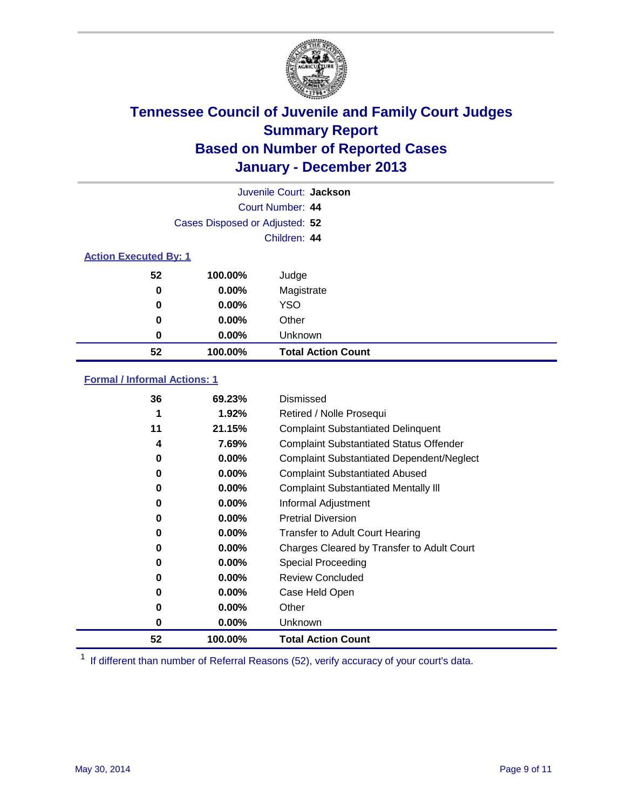

| Juvenile Court: Jackson      |                                |                           |  |  |
|------------------------------|--------------------------------|---------------------------|--|--|
| Court Number: 44             |                                |                           |  |  |
|                              | Cases Disposed or Adjusted: 52 |                           |  |  |
|                              |                                | Children: 44              |  |  |
| <b>Action Executed By: 1</b> |                                |                           |  |  |
| 52                           | 100.00%                        | Judge                     |  |  |
| 0                            | $0.00\%$                       | Magistrate                |  |  |
| 0                            | $0.00\%$                       | <b>YSO</b>                |  |  |
| 0                            | $0.00\%$                       | Other                     |  |  |
| 0                            | $0.00\%$                       | Unknown                   |  |  |
| 52                           | 100.00%                        | <b>Total Action Count</b> |  |  |

### **Formal / Informal Actions: 1**

| 36       | 69.23%   | Dismissed                                        |
|----------|----------|--------------------------------------------------|
| 1        | $1.92\%$ | Retired / Nolle Prosequi                         |
| 11       | 21.15%   | <b>Complaint Substantiated Delinquent</b>        |
| 4        | 7.69%    | <b>Complaint Substantiated Status Offender</b>   |
| 0        | $0.00\%$ | <b>Complaint Substantiated Dependent/Neglect</b> |
| 0        | $0.00\%$ | <b>Complaint Substantiated Abused</b>            |
| $\bf{0}$ | $0.00\%$ | <b>Complaint Substantiated Mentally III</b>      |
| 0        | $0.00\%$ | Informal Adjustment                              |
| 0        | $0.00\%$ | <b>Pretrial Diversion</b>                        |
| 0        | $0.00\%$ | <b>Transfer to Adult Court Hearing</b>           |
| 0        | $0.00\%$ | Charges Cleared by Transfer to Adult Court       |
| 0        | $0.00\%$ | Special Proceeding                               |
| 0        | $0.00\%$ | <b>Review Concluded</b>                          |
| 0        | $0.00\%$ | Case Held Open                                   |
| 0        | $0.00\%$ | Other                                            |
| 0        | $0.00\%$ | Unknown                                          |
| 52       | 100.00%  | <b>Total Action Count</b>                        |

<sup>1</sup> If different than number of Referral Reasons (52), verify accuracy of your court's data.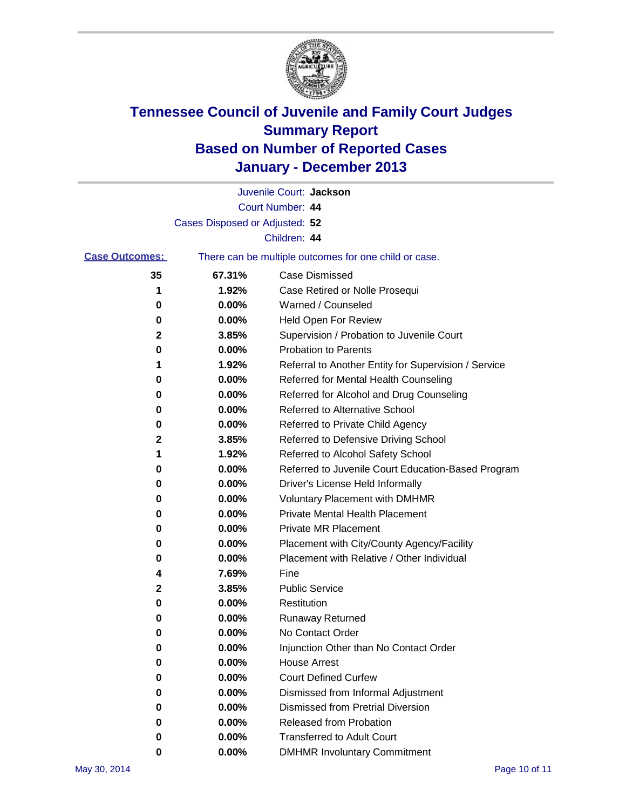

|                       |                                | Juvenile Court: Jackson                               |
|-----------------------|--------------------------------|-------------------------------------------------------|
|                       |                                | Court Number: 44                                      |
|                       | Cases Disposed or Adjusted: 52 |                                                       |
|                       |                                | Children: 44                                          |
| <b>Case Outcomes:</b> |                                | There can be multiple outcomes for one child or case. |
| 35                    | 67.31%                         | <b>Case Dismissed</b>                                 |
| 1                     | 1.92%                          | Case Retired or Nolle Prosequi                        |
| 0                     | 0.00%                          | Warned / Counseled                                    |
| 0                     | 0.00%                          | Held Open For Review                                  |
| 2                     | 3.85%                          | Supervision / Probation to Juvenile Court             |
| 0                     | 0.00%                          | <b>Probation to Parents</b>                           |
| 1                     | 1.92%                          | Referral to Another Entity for Supervision / Service  |
| 0                     | 0.00%                          | Referred for Mental Health Counseling                 |
| 0                     | 0.00%                          | Referred for Alcohol and Drug Counseling              |
| 0                     | 0.00%                          | <b>Referred to Alternative School</b>                 |
| 0                     | 0.00%                          | Referred to Private Child Agency                      |
| 2                     | 3.85%                          | Referred to Defensive Driving School                  |
| 1                     | 1.92%                          | Referred to Alcohol Safety School                     |
| 0                     | 0.00%                          | Referred to Juvenile Court Education-Based Program    |
| 0                     | 0.00%                          | Driver's License Held Informally                      |
| 0                     | 0.00%                          | <b>Voluntary Placement with DMHMR</b>                 |
| 0                     | 0.00%                          | <b>Private Mental Health Placement</b>                |
| 0                     | 0.00%                          | <b>Private MR Placement</b>                           |
| 0                     | 0.00%                          | Placement with City/County Agency/Facility            |
| 0                     | 0.00%                          | Placement with Relative / Other Individual            |
| 4                     | 7.69%                          | Fine                                                  |
| 2                     | 3.85%                          | <b>Public Service</b>                                 |
| 0                     | 0.00%                          | Restitution                                           |
| 0                     | 0.00%                          | <b>Runaway Returned</b>                               |
| 0                     | 0.00%                          | No Contact Order                                      |
| 0                     | 0.00%                          | Injunction Other than No Contact Order                |
| 0                     | 0.00%                          | <b>House Arrest</b>                                   |
| 0                     | 0.00%                          | <b>Court Defined Curfew</b>                           |
| 0                     | 0.00%                          | Dismissed from Informal Adjustment                    |
| 0                     | 0.00%                          | <b>Dismissed from Pretrial Diversion</b>              |
| 0                     | 0.00%                          | Released from Probation                               |
| 0                     | 0.00%                          | <b>Transferred to Adult Court</b>                     |
| 0                     | 0.00%                          | <b>DMHMR Involuntary Commitment</b>                   |